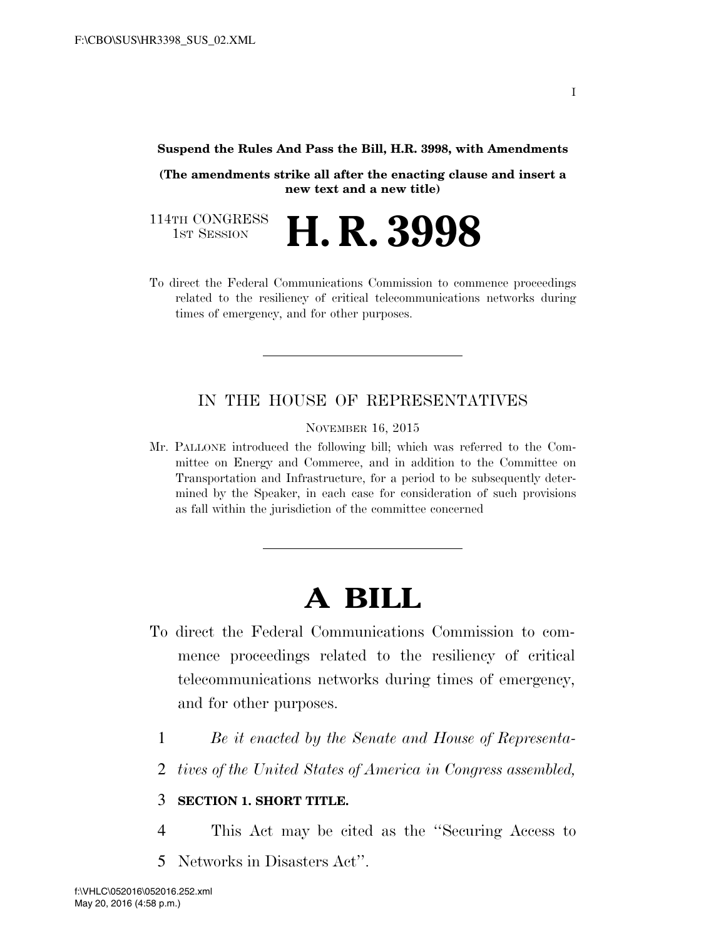#### **Suspend the Rules And Pass the Bill, H.R. 3998, with Amendments**

**(The amendments strike all after the enacting clause and insert a new text and a new title)** 

114TH CONGRESS<br>1st Session H. R. 3998

To direct the Federal Communications Commission to commence proceedings related to the resiliency of critical telecommunications networks during times of emergency, and for other purposes.

### IN THE HOUSE OF REPRESENTATIVES

NOVEMBER 16, 2015

Mr. PALLONE introduced the following bill; which was referred to the Committee on Energy and Commerce, and in addition to the Committee on Transportation and Infrastructure, for a period to be subsequently determined by the Speaker, in each case for consideration of such provisions as fall within the jurisdiction of the committee concerned

# **A BILL**

- To direct the Federal Communications Commission to commence proceedings related to the resiliency of critical telecommunications networks during times of emergency, and for other purposes.
	- 1 *Be it enacted by the Senate and House of Representa-*
	- 2 *tives of the United States of America in Congress assembled,*

#### 3 **SECTION 1. SHORT TITLE.**

- 4 This Act may be cited as the ''Securing Access to
- 5 Networks in Disasters Act''.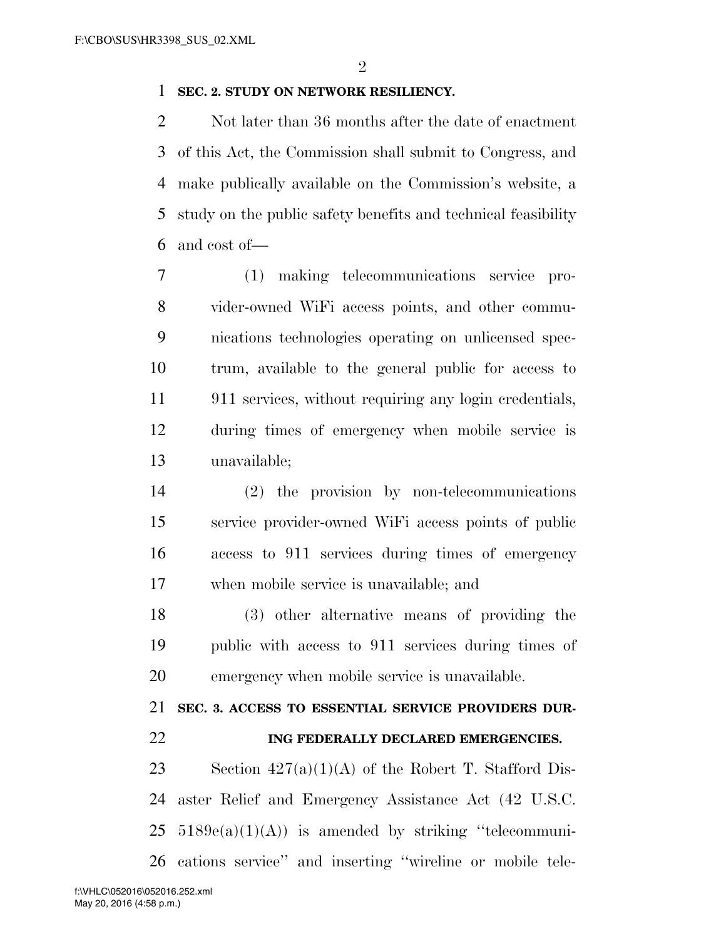#### **SEC. 2. STUDY ON NETWORK RESILIENCY.**

2 Not later than 36 months after the date of enactment of this Act, the Commission shall submit to Congress, and make publically available on the Commission's website, a study on the public safety benefits and technical feasibility and cost of—

 (1) making telecommunications service pro- vider-owned WiFi access points, and other commu- nications technologies operating on unlicensed spec- trum, available to the general public for access to 911 services, without requiring any login credentials, during times of emergency when mobile service is unavailable;

 (2) the provision by non-telecommunications service provider-owned WiFi access points of public access to 911 services during times of emergency when mobile service is unavailable; and

 (3) other alternative means of providing the public with access to 911 services during times of emergency when mobile service is unavailable.

**SEC. 3. ACCESS TO ESSENTIAL SERVICE PROVIDERS DUR-**

## **ING FEDERALLY DECLARED EMERGENCIES.**

23 Section  $427(a)(1)(A)$  of the Robert T. Stafford Dis- aster Relief and Emergency Assistance Act (42 U.S.C.  $25 \quad 5189e(a)(1)(A)$  is amended by striking "telecommuni-cations service'' and inserting ''wireline or mobile tele